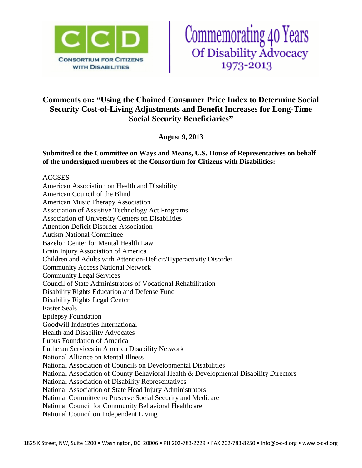



# **Comments on: "Using the Chained Consumer Price Index to Determine Social Security Cost-of-Living Adjustments and Benefit Increases for Long-Time Social Security Beneficiaries"**

**August 9, 2013**

**Submitted to the Committee on Ways and Means, U.S. House of Representatives on behalf of the undersigned members of the Consortium for Citizens with Disabilities:**

### ACCSES

American Association on Health and Disability American Council of the Blind American Music Therapy Association Association of Assistive Technology Act Programs Association of University Centers on Disabilities Attention Deficit Disorder Association Autism National Committee Bazelon Center for Mental Health Law Brain Injury Association of America Children and Adults with Attention-Deficit/Hyperactivity Disorder Community Access National Network Community Legal Services Council of State Administrators of Vocational Rehabilitation Disability Rights Education and Defense Fund Disability Rights Legal Center Easter Seals Epilepsy Foundation Goodwill Industries International Health and Disability Advocates Lupus Foundation of America Lutheran Services in America Disability Network National Alliance on Mental Illness National Association of Councils on Developmental Disabilities National Association of County Behavioral Health & Developmental Disability Directors National Association of Disability Representatives National Association of State Head Injury Administrators National Committee to Preserve Social Security and Medicare National Council for Community Behavioral Healthcare National Council on Independent Living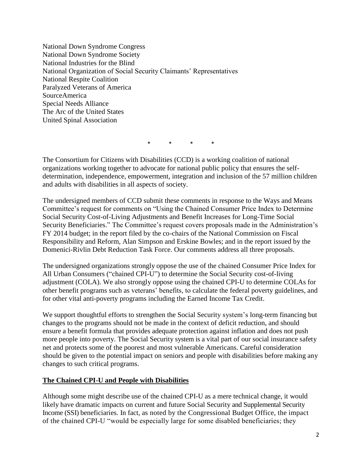National Down Syndrome Congress National Down Syndrome Society National Industries for the Blind National Organization of Social Security Claimants' Representatives National Respite Coalition Paralyzed Veterans of America SourceAmerica Special Needs Alliance The Arc of the United States United Spinal Association

\* \* \* \*

The Consortium for Citizens with Disabilities (CCD) is a working coalition of national organizations working together to advocate for national public policy that ensures the selfdetermination, independence, empowerment, integration and inclusion of the 57 million children and adults with disabilities in all aspects of society.

The undersigned members of CCD submit these comments in response to the Ways and Means Committee's request for comments on "Using the Chained Consumer Price Index to Determine Social Security Cost-of-Living Adjustments and Benefit Increases for Long-Time Social Security Beneficiaries." The Committee's request covers proposals made in the Administration's FY 2014 budget; in the report filed by the co-chairs of the National Commission on Fiscal Responsibility and Reform, Alan Simpson and Erskine Bowles; and in the report issued by the Domenici-Rivlin Debt Reduction Task Force. Our comments address all three proposals.

The undersigned organizations strongly oppose the use of the chained Consumer Price Index for All Urban Consumers ("chained CPI-U") to determine the Social Security cost-of-living adjustment (COLA). We also strongly oppose using the chained CPI-U to determine COLAs for other benefit programs such as veterans' benefits, to calculate the federal poverty guidelines, and for other vital anti-poverty programs including the Earned Income Tax Credit.

We support thoughtful efforts to strengthen the Social Security system's long-term financing but changes to the programs should not be made in the context of deficit reduction, and should ensure a benefit formula that provides adequate protection against inflation and does not push more people into poverty. The Social Security system is a vital part of our social insurance safety net and protects some of the poorest and most vulnerable Americans. Careful consideration should be given to the potential impact on seniors and people with disabilities before making any changes to such critical programs.

### **The Chained CPI-U and People with Disabilities**

Although some might describe use of the chained CPI-U as a mere technical change, it would likely have dramatic impacts on current and future Social Security and Supplemental Security Income (SSI) beneficiaries. In fact, as noted by the Congressional Budget Office, the impact of the chained CPI-U "would be especially large for some disabled beneficiaries; they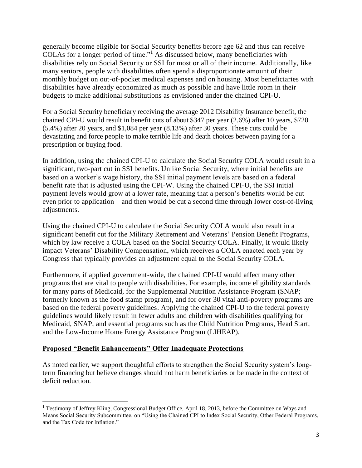generally become eligible for Social Security benefits before age 62 and thus can receive COLAs for a longer period of time."<sup>1</sup> As discussed below, many beneficiaries with disabilities rely on Social Security or SSI for most or all of their income. Additionally, like many seniors, people with disabilities often spend a disproportionate amount of their monthly budget on out-of-pocket medical expenses and on housing. Most beneficiaries with disabilities have already economized as much as possible and have little room in their budgets to make additional substitutions as envisioned under the chained CPI-U.

For a Social Security beneficiary receiving the average 2012 Disability Insurance benefit, the chained CPI-U would result in benefit cuts of about \$347 per year (2.6%) after 10 years, \$720 (5.4%) after 20 years, and \$1,084 per year (8.13%) after 30 years. These cuts could be devastating and force people to make terrible life and death choices between paying for a prescription or buying food.

In addition, using the chained CPI-U to calculate the Social Security COLA would result in a significant, two-part cut in SSI benefits. Unlike Social Security, where initial benefits are based on a worker's wage history, the SSI initial payment levels are based on a federal benefit rate that is adjusted using the CPI-W. Using the chained CPI-U, the SSI initial payment levels would grow at a lower rate, meaning that a person's benefits would be cut even prior to application – and then would be cut a second time through lower cost-of-living adjustments.

Using the chained CPI-U to calculate the Social Security COLA would also result in a significant benefit cut for the Military Retirement and Veterans' Pension Benefit Programs, which by law receive a COLA based on the Social Security COLA. Finally, it would likely impact Veterans' Disability Compensation, which receives a COLA enacted each year by Congress that typically provides an adjustment equal to the Social Security COLA.

Furthermore, if applied government-wide, the chained CPI-U would affect many other programs that are vital to people with disabilities. For example, income eligibility standards for many parts of Medicaid, for the Supplemental Nutrition Assistance Program (SNAP; formerly known as the food stamp program), and for over 30 vital anti-poverty programs are based on the federal poverty guidelines. Applying the chained CPI-U to the federal poverty guidelines would likely result in fewer adults and children with disabilities qualifying for Medicaid, SNAP, and essential programs such as the Child Nutrition Programs, Head Start, and the Low-Income Home Energy Assistance Program (LIHEAP).

## **Proposed "Benefit Enhancements" Offer Inadequate Protections**

 $\overline{\phantom{a}}$ 

As noted earlier, we support thoughtful efforts to strengthen the Social Security system's longterm financing but believe changes should not harm beneficiaries or be made in the context of deficit reduction.

<sup>&</sup>lt;sup>1</sup> Testimony of Jeffrey Kling, Congressional Budget Office, April 18, 2013, before the Committee on Ways and Means Social Security Subcommittee, on "Using the Chained CPI to Index Social Security, Other Federal Programs, and the Tax Code for Inflation."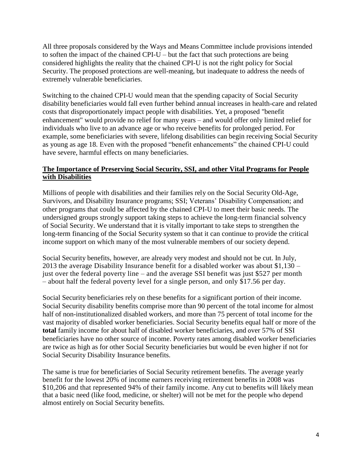All three proposals considered by the Ways and Means Committee include provisions intended to soften the impact of the chained CPI-U – but the fact that such protections are being considered highlights the reality that the chained CPI-U is not the right policy for Social Security. The proposed protections are well-meaning, but inadequate to address the needs of extremely vulnerable beneficiaries.

Switching to the chained CPI-U would mean that the spending capacity of Social Security disability beneficiaries would fall even further behind annual increases in health-care and related costs that disproportionately impact people with disabilities. Yet, a proposed "benefit enhancement" would provide no relief for many years – and would offer only limited relief for individuals who live to an advance age or who receive benefits for prolonged period. For example, some beneficiaries with severe, lifelong disabilities can begin receiving Social Security as young as age 18. Even with the proposed "benefit enhancements" the chained CPI-U could have severe, harmful effects on many beneficiaries.

### **The Importance of Preserving Social Security, SSI, and other Vital Programs for People with Disabilities**

Millions of people with disabilities and their families rely on the Social Security Old-Age, Survivors, and Disability Insurance programs; SSI; Veterans' Disability Compensation; and other programs that could be affected by the chained CPI-U to meet their basic needs. The undersigned groups strongly support taking steps to achieve the long-term financial solvency of Social Security. We understand that it is vitally important to take steps to strengthen the long-term financing of the Social Security system so that it can continue to provide the critical income support on which many of the most vulnerable members of our society depend.

Social Security benefits, however, are already very modest and should not be cut. In July, 2013 the average Disability Insurance benefit for a disabled worker was about \$1,130 – just over the federal poverty line – and the average SSI benefit was just \$527 per month – about half the federal poverty level for a single person, and only \$17.56 per day.

Social Security beneficiaries rely on these benefits for a significant portion of their income. Social Security disability benefits comprise more than 90 percent of the total income for almost half of non-institutionalized disabled workers, and more than 75 percent of total income for the vast majority of disabled worker beneficiaries. Social Security benefits equal half or more of the **total** family income for about half of disabled worker beneficiaries, and over 57% of SSI beneficiaries have no other source of income. Poverty rates among disabled worker beneficiaries are twice as high as for other Social Security beneficiaries but would be even higher if not for Social Security Disability Insurance benefits.

The same is true for beneficiaries of Social Security retirement benefits. The average yearly benefit for the lowest 20% of income earners receiving retirement benefits in 2008 was \$10,206 and that represented 94% of their family income. Any cut to benefits will likely mean that a basic need (like food, medicine, or shelter) will not be met for the people who depend almost entirely on Social Security benefits.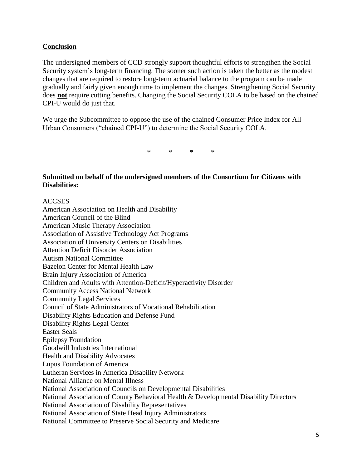### **Conclusion**

The undersigned members of CCD strongly support thoughtful efforts to strengthen the Social Security system's long-term financing. The sooner such action is taken the better as the modest changes that are required to restore long-term actuarial balance to the program can be made gradually and fairly given enough time to implement the changes. Strengthening Social Security does **not** require cutting benefits. Changing the Social Security COLA to be based on the chained CPI-U would do just that.

We urge the Subcommittee to oppose the use of the chained Consumer Price Index for All Urban Consumers ("chained CPI-U") to determine the Social Security COLA.

\* \* \* \*

**Submitted on behalf of the undersigned members of the Consortium for Citizens with Disabilities:**

#### ACCSES

American Association on Health and Disability American Council of the Blind American Music Therapy Association Association of Assistive Technology Act Programs Association of University Centers on Disabilities Attention Deficit Disorder Association Autism National Committee Bazelon Center for Mental Health Law Brain Injury Association of America Children and Adults with Attention-Deficit/Hyperactivity Disorder Community Access National Network Community Legal Services Council of State Administrators of Vocational Rehabilitation Disability Rights Education and Defense Fund Disability Rights Legal Center Easter Seals Epilepsy Foundation Goodwill Industries International Health and Disability Advocates Lupus Foundation of America Lutheran Services in America Disability Network National Alliance on Mental Illness National Association of Councils on Developmental Disabilities National Association of County Behavioral Health & Developmental Disability Directors National Association of Disability Representatives National Association of State Head Injury Administrators National Committee to Preserve Social Security and Medicare